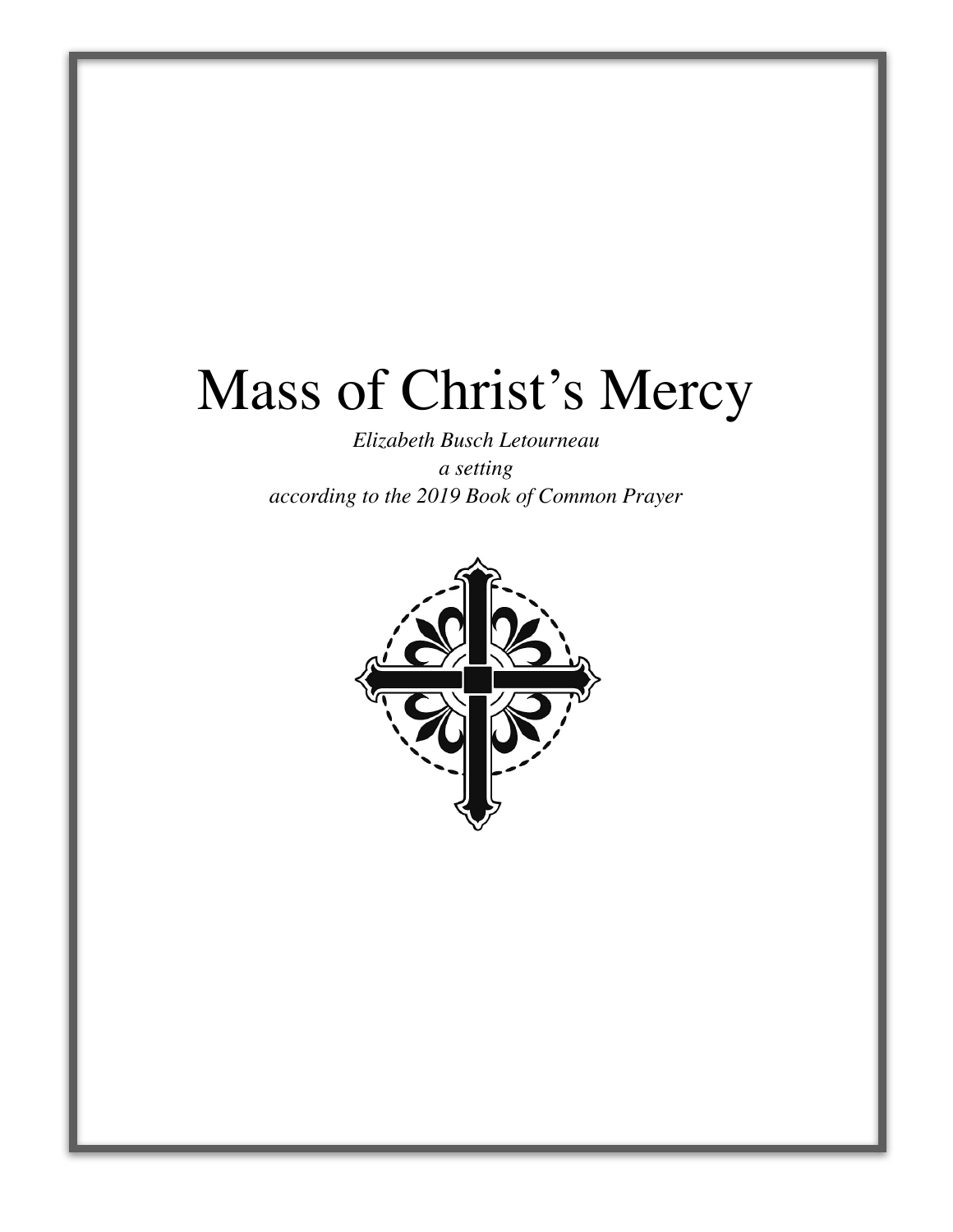## Mass of Christ's Mercy

*Elizabeth Busch Letourneau a setting according to the 2019 Book of Common Prayer*

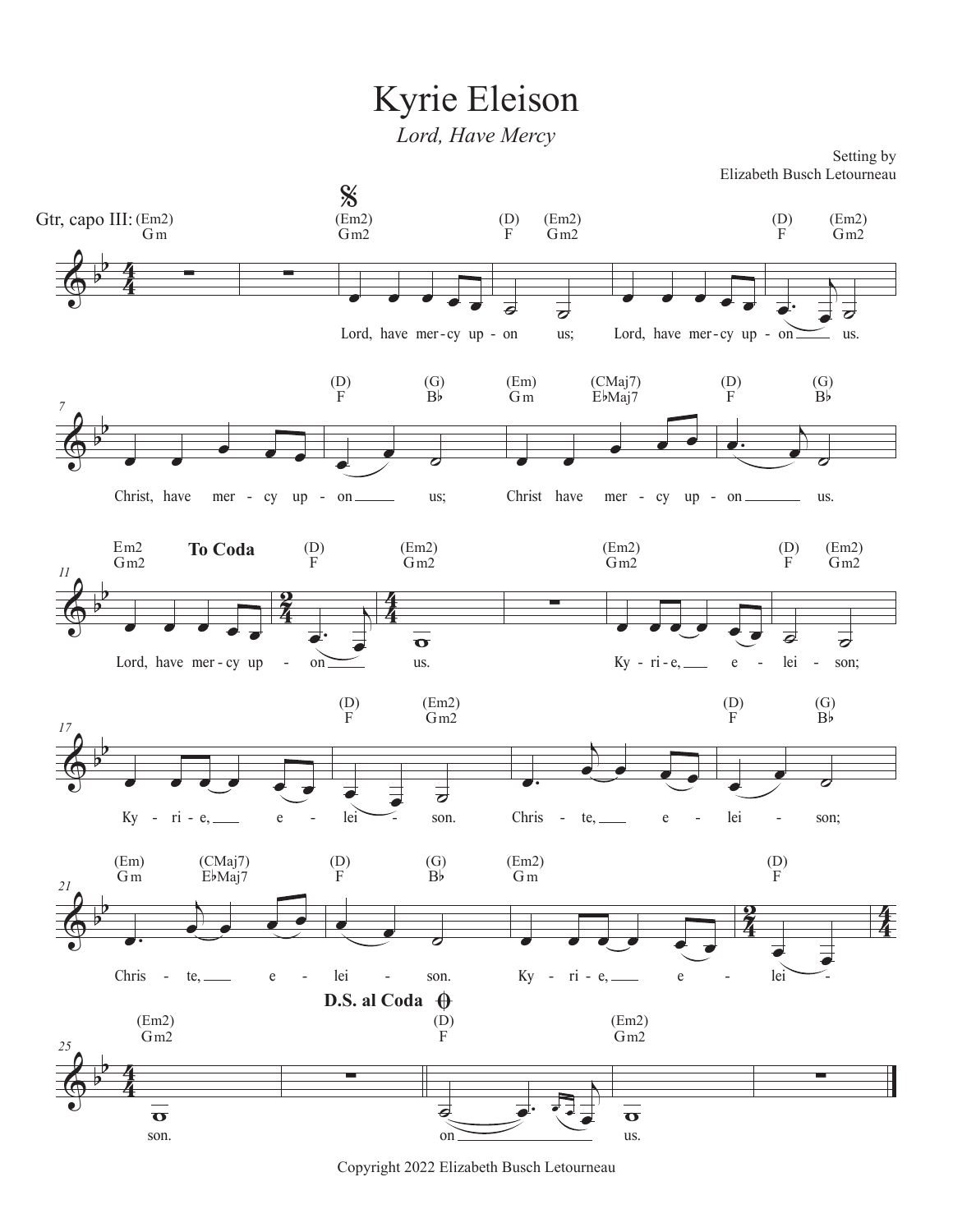## Kyrie Eleison

*Lord, Have Mercy*

Setting by Elizabeth Busch Letourneau



Copyright 2022 Elizabeth Busch Letourneau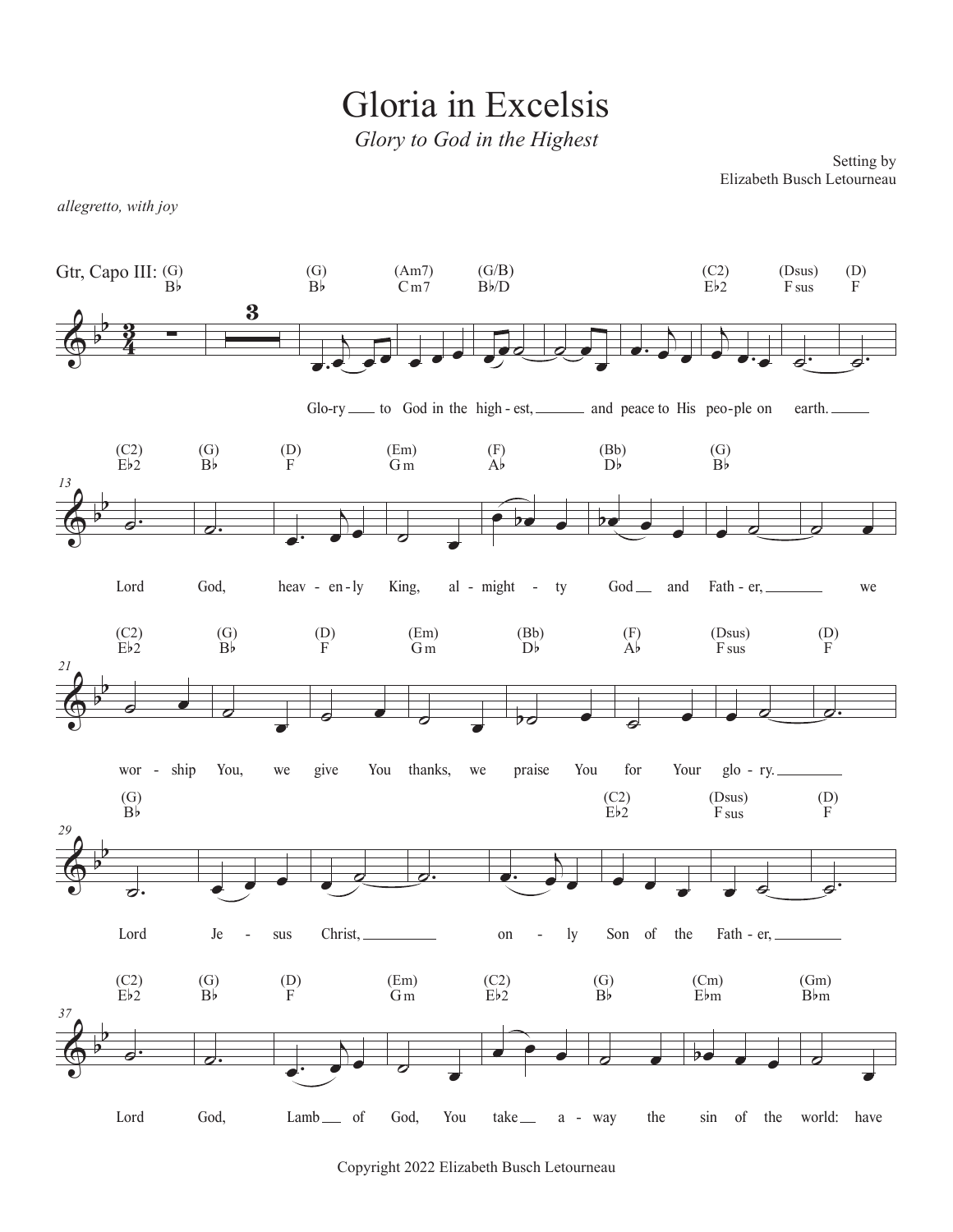Gloria in Excelsis

*Glory to God in the Highest*

Setting by Elizabeth Busch Letourneau

*allegretto, with joy*



Copyright 2022 Elizabeth Busch Letourneau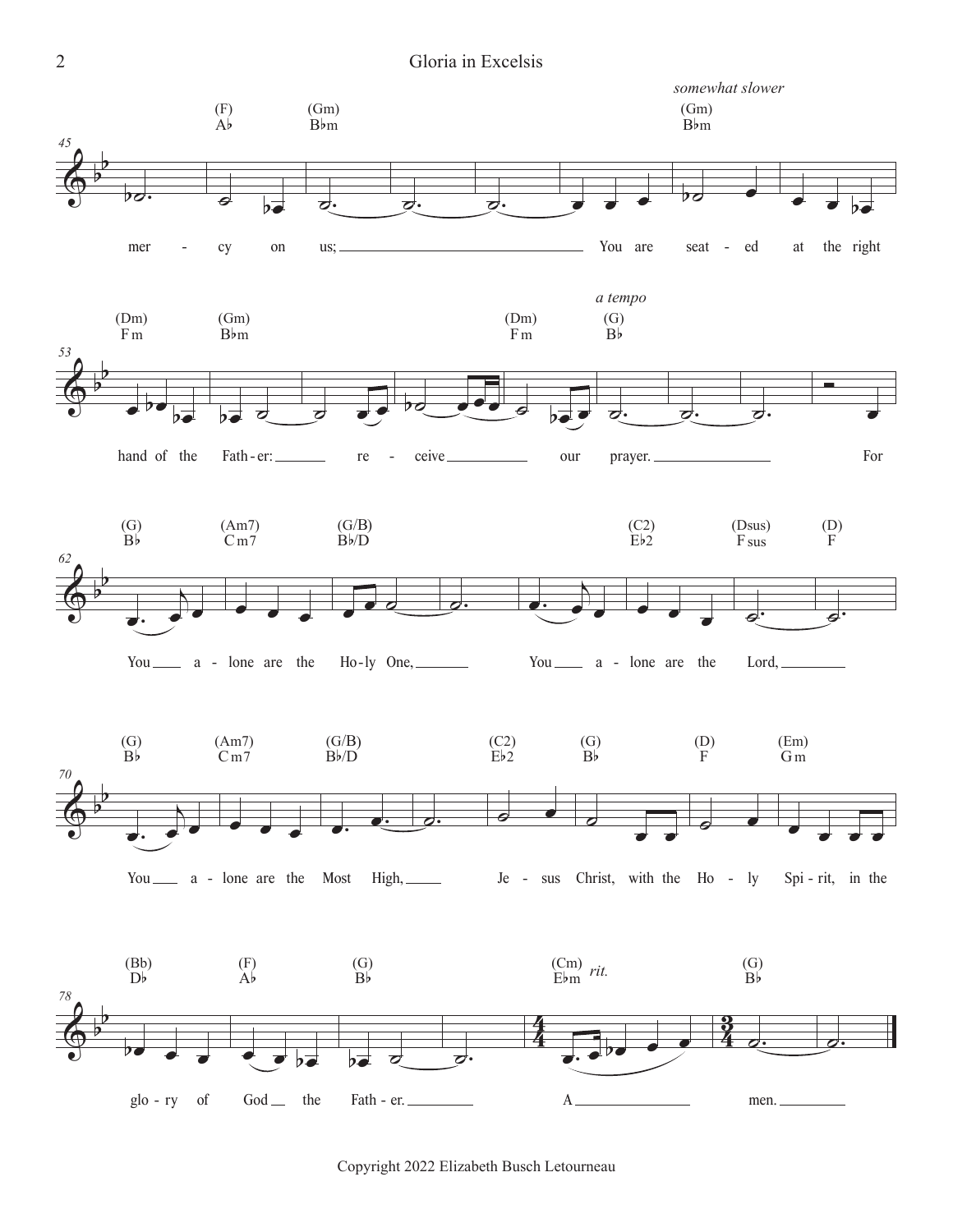

Copyright 2022 Elizabeth Busch Letourneau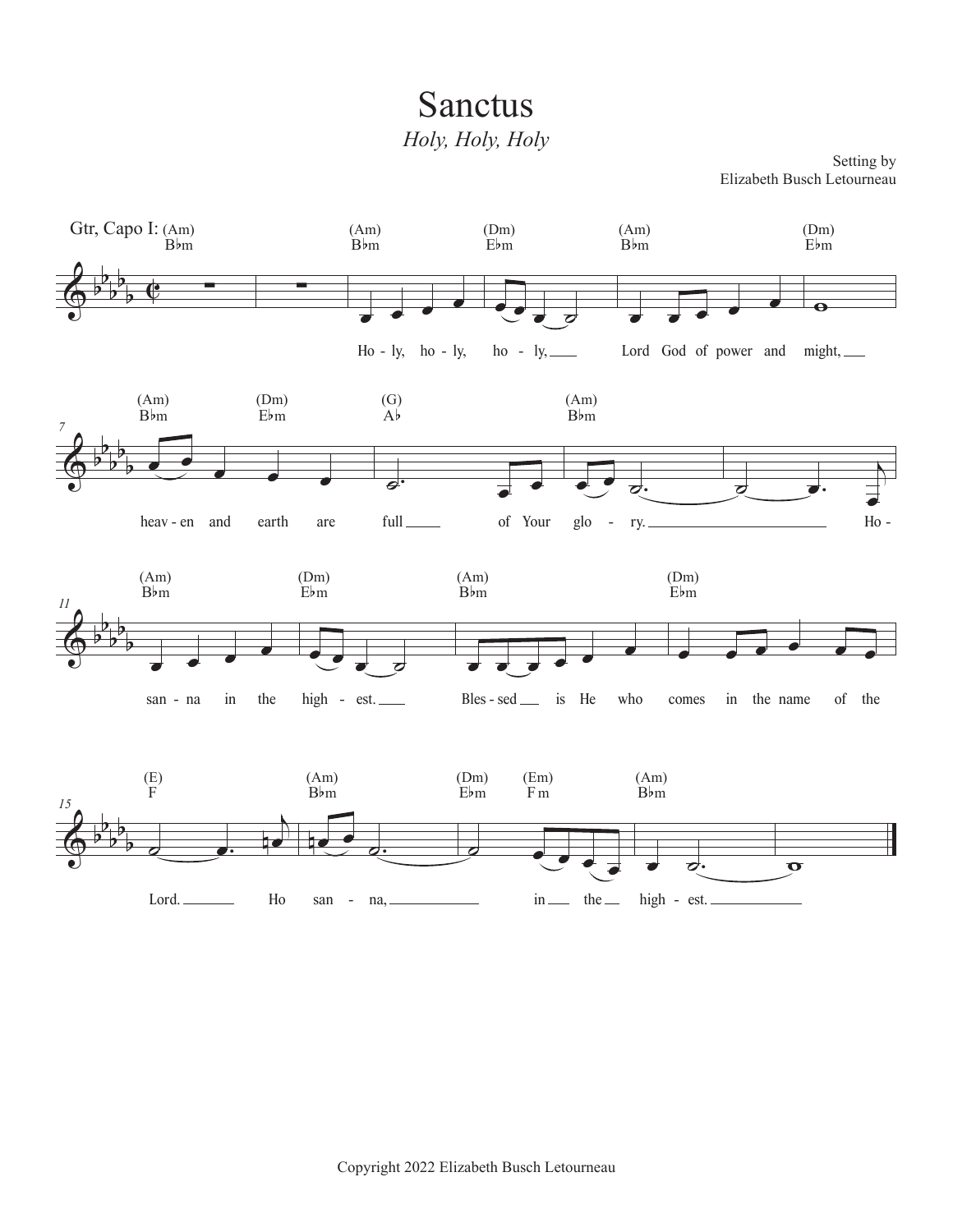## Sanctus *Holy, Holy, Holy*

Setting by Elizabeth Busch Letourneau